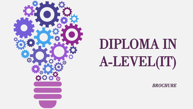

# DIPLOMA IN A-LEVEL(IT)

*BROCHURE*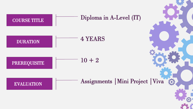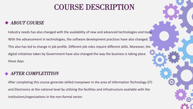### COURSE DESCRIPTION

#### *ABOUT COURSE*

Industry needs has also changed with the availability of new and advanced technologies and tools. With the advancement in technologies, the software development practices have also changed. This also has led to change in job profile. Different job roles require different skills. Moreover, the digital initiatives taken by Government have also changed the way the business is taking place these days.

#### *AFTER COMPLETITION*

After completing this course generate skilled manpower in the area of Information Technology (IT) and Electronics at the national level by utilizing the facilities and infrastructure available with the institutions/organizations in the non-formal sector.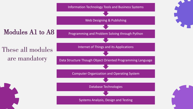